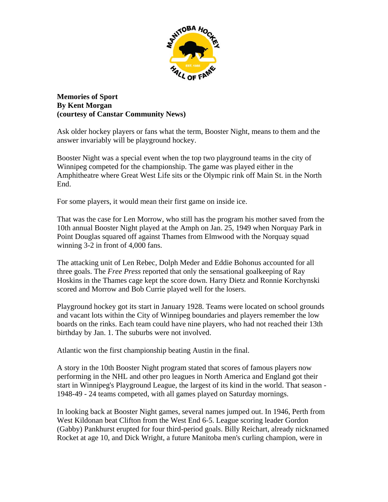

**Memories of Sport By Kent Morgan (courtesy of Canstar Community News)** 

Ask older hockey players or fans what the term, Booster Night, means to them and the answer invariably will be playground hockey.

Booster Night was a special event when the top two playground teams in the city of Winnipeg competed for the championship. The game was played either in the Amphitheatre where Great West Life sits or the Olympic rink off Main St. in the North End.

For some players, it would mean their first game on inside ice.

That was the case for Len Morrow, who still has the program his mother saved from the 10th annual Booster Night played at the Amph on Jan. 25, 1949 when Norquay Park in Point Douglas squared off against Thames from Elmwood with the Norquay squad winning 3-2 in front of 4,000 fans.

The attacking unit of Len Rebec, Dolph Meder and Eddie Bohonus accounted for all three goals. The *Free Press* reported that only the sensational goalkeeping of Ray Hoskins in the Thames cage kept the score down. Harry Dietz and Ronnie Korchynski scored and Morrow and Bob Currie played well for the losers.

Playground hockey got its start in January 1928. Teams were located on school grounds and vacant lots within the City of Winnipeg boundaries and players remember the low boards on the rinks. Each team could have nine players, who had not reached their 13th birthday by Jan. 1. The suburbs were not involved.

Atlantic won the first championship beating Austin in the final.

A story in the 10th Booster Night program stated that scores of famous players now performing in the NHL and other pro leagues in North America and England got their start in Winnipeg's Playground League, the largest of its kind in the world. That season - 1948-49 - 24 teams competed, with all games played on Saturday mornings.

In looking back at Booster Night games, several names jumped out. In 1946, Perth from West Kildonan beat Clifton from the West End 6-5. League scoring leader Gordon (Gabby) Pankhurst erupted for four third-period goals. Billy Reichart, already nicknamed Rocket at age 10, and Dick Wright, a future Manitoba men's curling champion, were in